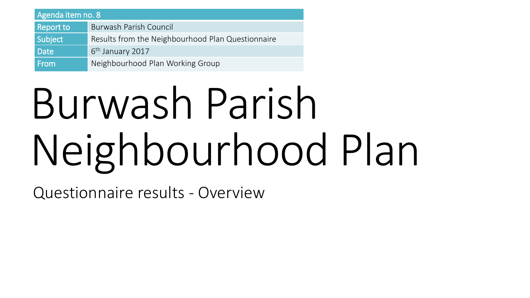| Agenda item no. 8 |                                                   |
|-------------------|---------------------------------------------------|
| <b>Report to</b>  | Burwash Parish Council                            |
| Subject           | Results from the Neighbourhood Plan Questionnaire |
| Date              | 6 <sup>th</sup> January 2017                      |
| From              | Neighbourhood Plan Working Group                  |

# Burwash Parish Neighbourhood Plan

Questionnaire results - Overview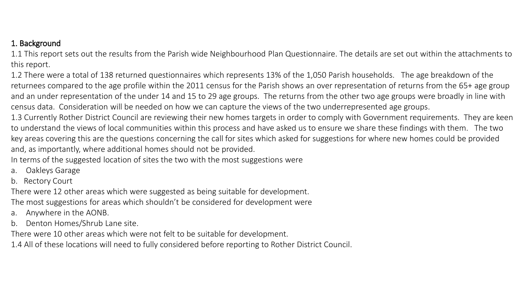# 1. Background

1.1 This report sets out the results from the Parish wide Neighbourhood Plan Questionnaire. The details are set out within the attachments to this report.

1.2 There were a total of 138 returned questionnaires which represents 13% of the 1,050 Parish households. The age breakdown of the returnees compared to the age profile within the 2011 census for the Parish shows an over representation of returns from the 65+ age group and an under representation of the under 14 and 15 to 29 age groups. The returns from the other two age groups were broadly in line with census data. Consideration will be needed on how we can capture the views of the two underrepresented age groups.

1.3 Currently Rother District Council are reviewing their new homes targets in order to comply with Government requirements. They are keen to understand the views of local communities within this process and have asked us to ensure we share these findings with them. The two key areas covering this are the questions concerning the call for sites which asked for suggestions for where new homes could be provided and, as importantly, where additional homes should not be provided.

In terms of the suggested location of sites the two with the most suggestions were

- a. Oakleys Garage
- b. Rectory Court

There were 12 other areas which were suggested as being suitable for development.

The most suggestions for areas which shouldn't be considered for development were

- a. Anywhere in the AONB.
- b. Denton Homes/Shrub Lane site.

There were 10 other areas which were not felt to be suitable for development.

1.4 All of these locations will need to fully considered before reporting to Rother District Council.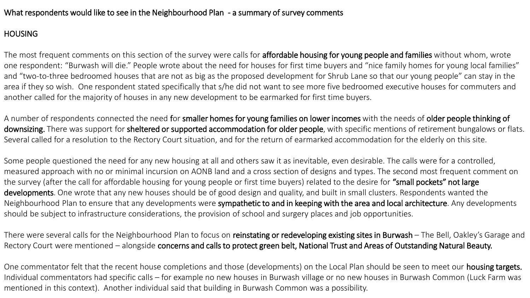## What respondents would like to see in the Neighbourhood Plan - a summary of survey comments

## **HOUSING**

The most frequent comments on this section of the survey were calls for affordable housing for young people and families without whom, wrote one respondent: "Burwash will die." People wrote about the need for houses for first time buyers and "nice family homes for young local families" and "two-to-three bedroomed houses that are not as big as the proposed development for Shrub Lane so that our young people" can stay in the area if they so wish. One respondent stated specifically that s/he did not want to see more five bedroomed executive houses for commuters and another called for the majority of houses in any new development to be earmarked for first time buyers.

A number of respondents connected the need for smaller homes for young families on lower incomes with the needs of older people thinking of downsizing. There was support for sheltered or supported accommodation for older people, with specific mentions of retirement bungalows or flats. Several called for a resolution to the Rectory Court situation, and for the return of earmarked accommodation for the elderly on this site.

Some people questioned the need for any new housing at all and others saw it as inevitable, even desirable. The calls were for a controlled, measured approach with no or minimal incursion on AONB land and a cross section of designs and types. The second most frequent comment on the survey (after the call for affordable housing for young people or first time buyers) related to the desire for "small pockets" not large developments. One wrote that any new houses should be of good design and quality, and built in small clusters. Respondents wanted the Neighbourhood Plan to ensure that any developments were sympathetic to and in keeping with the area and local architecture. Any developments should be subject to infrastructure considerations, the provision of school and surgery places and job opportunities.

There were several calls for the Neighbourhood Plan to focus on reinstating or redeveloping existing sites in Burwash - The Bell, Oakley's Garage and Rectory Court were mentioned – alongside concerns and calls to protect green belt, National Trust and Areas of Outstanding Natural Beauty.

One commentator felt that the recent house completions and those (developments) on the Local Plan should be seen to meet our housing targets. Individual commentators had specific calls – for example no new houses in Burwash village or no new houses in Burwash Common (Luck Farm was mentioned in this context). Another individual said that building in Burwash Common was a possibility.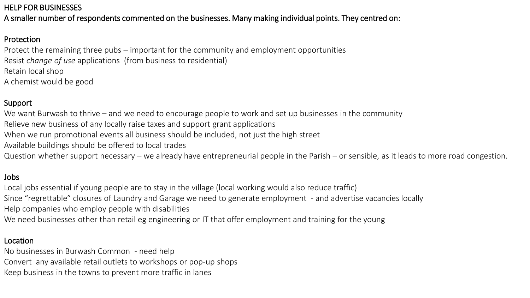## HELP FOR BUSINESSES

A smaller number of respondents commented on the businesses. Many making individual points. They centred on:

# Protection

Protect the remaining three pubs – important for the community and employment opportunities Resist *change of use* applications (from business to residential) Retain local shop A chemist would be good

## Support

We want Burwash to thrive – and we need to encourage people to work and set up businesses in the community

- Relieve new business of any locally raise taxes and support grant applications
- When we run promotional events all business should be included, not just the high street
- Available buildings should be offered to local trades
- Question whether support necessary we already have entrepreneurial people in the Parish or sensible, as it leads to more road congestion.

#### Jobs

Local jobs essential if young people are to stay in the village (local working would also reduce traffic) Since "regrettable" closures of Laundry and Garage we need to generate employment - and advertise vacancies locally Help companies who employ people with disabilities

We need businesses other than retail eg engineering or IT that offer employment and training for the young

#### Location

No businesses in Burwash Common - need help Convert any available retail outlets to workshops or pop-up shops Keep business in the towns to prevent more traffic in lanes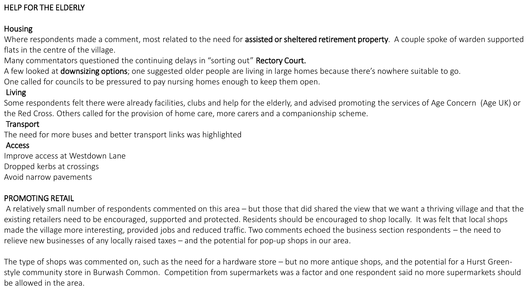# HELP FOR THE ELDERLY

#### **Housing**

Where respondents made a comment, most related to the need for assisted or sheltered retirement property. A couple spoke of warden supported flats in the centre of the village.

Many commentators questioned the continuing delays in "sorting out" Rectory Court.

A few looked at **downsizing options**; one suggested older people are living in large homes because there's nowhere suitable to go.

One called for councils to be pressured to pay nursing homes enough to keep them open.

## Living

Some respondents felt there were already facilities, clubs and help for the elderly, and advised promoting the services of Age Concern (Age UK) or the Red Cross. Others called for the provision of home care, more carers and a companionship scheme.

#### **Transport**

The need for more buses and better transport links was highlighted

#### Access

Improve access at Westdown Lane

Dropped kerbs at crossings

Avoid narrow pavements

#### PROMOTING RETAIL

A relatively small number of respondents commented on this area – but those that did shared the view that we want a thriving village and that the existing retailers need to be encouraged, supported and protected. Residents should be encouraged to shop locally. It was felt that local shops made the village more interesting, provided jobs and reduced traffic. Two comments echoed the business section respondents – the need to relieve new businesses of any locally raised taxes – and the potential for pop-up shops in our area.

The type of shops was commented on, such as the need for a hardware store – but no more antique shops, and the potential for a Hurst Greenstyle community store in Burwash Common. Competition from supermarkets was a factor and one respondent said no more supermarkets should be allowed in the area.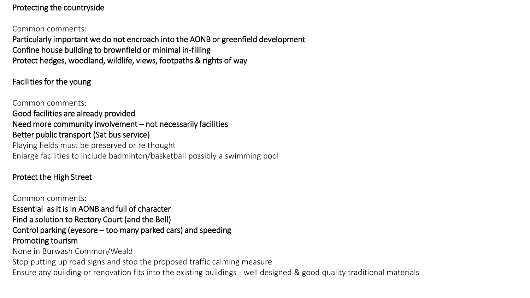## Protecting the countryside

#### Common comments:

Particularly important we do not encroach into the AONB or greenfield development Confine house building to brownfield or minimal in-filling Protect hedges, woodland, wildlife, views, footpaths & rights of way

## Facilities for the young

Common comments: Good facilities are already provided Need more community involvement – not necessarily facilities Better public transport (Sat bus service) Playing fields must be preserved or re thought Enlarge facilities to include badminton/basketball possibly a swimming pool

# Protect the High Street

Common comments: Essential as it is in AONB and full of character Find a solution to Rectory Court (and the Bell) Control parking (eyesore – too many parked cars) and speeding Promoting tourism None in Burwash Common/Weald Stop putting up road signs and stop the proposed traffic calming measure Ensure any building or renovation fits into the existing buildings - well designed & good quality traditional materials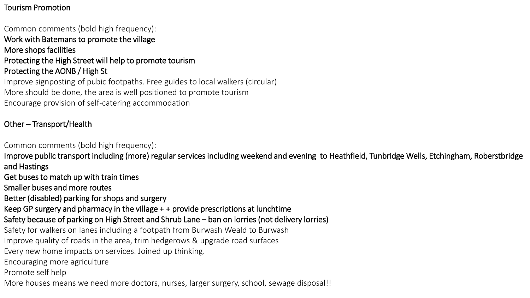# Tourism Promotion

## Common comments (bold high frequency): Work with Batemans to promote the village More shops facilities Protecting the High Street will help to promote tourism Protecting the AONB / High St Improve signposting of pubic footpaths. Free guides to local walkers (circular)

More should be done, the area is well positioned to promote tourism Encourage provision of self-catering accommodation

# Other – Transport/Health

Common comments (bold high frequency):

- Improve public transport including (more) regular services including weekend and evening to Heathfield, Tunbridge Wells, Etchingham, Roberstbridge and Hastings
- Get buses to match up with train times
- Smaller buses and more routes
- Better (disabled) parking for shops and surgery
- Keep GP surgery and pharmacy in the village + + provide prescriptions at lunchtime

# Safety because of parking on High Street and Shrub Lane – ban on lorries (not delivery lorries)

- Safety for walkers on lanes including a footpath from Burwash Weald to Burwash
- Improve quality of roads in the area, trim hedgerows & upgrade road surfaces
- Every new home impacts on services. Joined up thinking.
- Encouraging more agriculture
- Promote self help
- More houses means we need more doctors, nurses, larger surgery, school, sewage disposal!!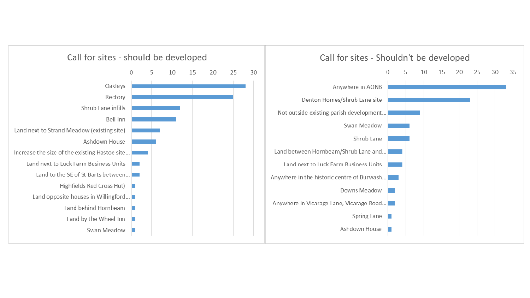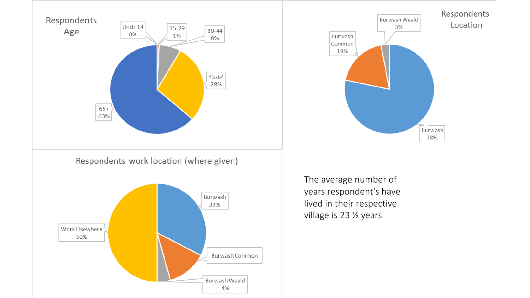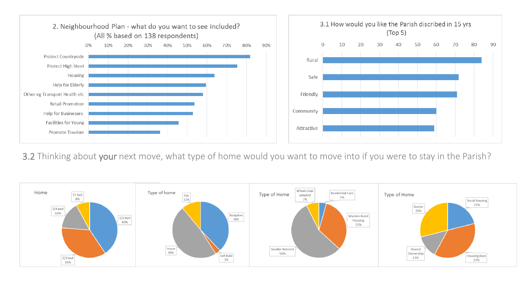

## 3.2 Thinking about your next move, what type of home would you want to move into if you were to stay in the Parish?

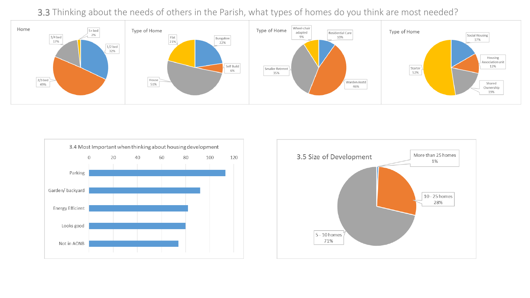# 3.3 Thinking about the needs of others in the Parish, what types of homes do you think are most needed?